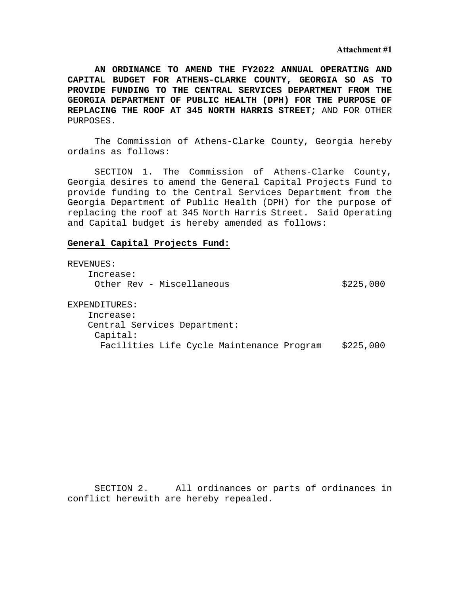**Attachment #1** 

**AN ORDINANCE TO AMEND THE FY2022 ANNUAL OPERATING AND CAPITAL BUDGET FOR ATHENS-CLARKE COUNTY, GEORGIA SO AS TO PROVIDE FUNDING TO THE CENTRAL SERVICES DEPARTMENT FROM THE GEORGIA DEPARTMENT OF PUBLIC HEALTH (DPH) FOR THE PURPOSE OF REPLACING THE ROOF AT 345 NORTH HARRIS STREET;** AND FOR OTHER PURPOSES.

 The Commission of Athens-Clarke County, Georgia hereby ordains as follows:

 SECTION 1. The Commission of Athens-Clarke County, Georgia desires to amend the General Capital Projects Fund to provide funding to the Central Services Department from the Georgia Department of Public Health (DPH) for the purpose of replacing the roof at 345 North Harris Street. Said Operating and Capital budget is hereby amended as follows:

#### **General Capital Projects Fund:**

REVENUES: Increase: Other Rev - Miscellaneous \$225,000 EXPENDITURES: Increase: Central Services Department: Capital: Facilities Life Cycle Maintenance Program \$225,000

 SECTION 2. All ordinances or parts of ordinances in conflict herewith are hereby repealed.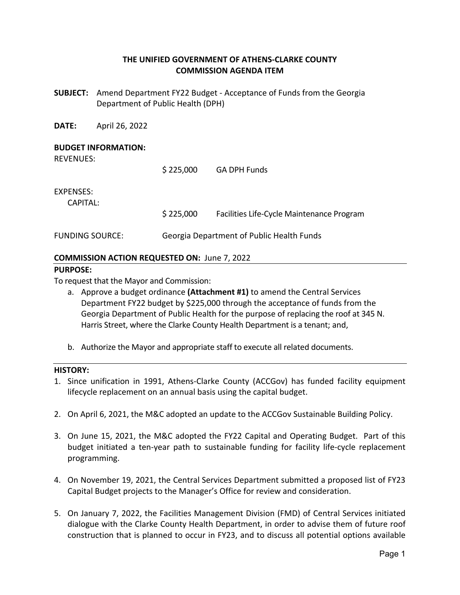# **THE UNIFIED GOVERNMENT OF ATHENS‐CLARKE COUNTY COMMISSION AGENDA ITEM**

**SUBJECT:**  Amend Department FY22 Budget ‐ Acceptance of Funds from the Georgia Department of Public Health (DPH)

**DATE:**  April 26, 2022

### **BUDGET INFORMATION:**

REVENUES:

 \$ 225,000 GA DPH Funds EXPENSES: CAPITAL: \$ 225,000 Facilities Life‐Cycle Maintenance Program FUNDING SOURCE: Georgia Department of Public Health Funds

## **COMMISSION ACTION REQUESTED ON:** June 7, 2022

#### **PURPOSE:**

To request that the Mayor and Commission:

- a. Approve a budget ordinance **(Attachment #1)** to amend the Central Services Department FY22 budget by \$225,000 through the acceptance of funds from the Georgia Department of Public Health for the purpose of replacing the roof at 345 N. Harris Street, where the Clarke County Health Department is a tenant; and,
- b. Authorize the Mayor and appropriate staff to execute all related documents.

#### **HISTORY:**

- 1. Since unification in 1991, Athens‐Clarke County (ACCGov) has funded facility equipment lifecycle replacement on an annual basis using the capital budget.
- 2. On April 6, 2021, the M&C adopted an update to the ACCGov Sustainable Building Policy.
- 3. On June 15, 2021, the M&C adopted the FY22 Capital and Operating Budget. Part of this budget initiated a ten‐year path to sustainable funding for facility life‐cycle replacement programming.
- 4. On November 19, 2021, the Central Services Department submitted a proposed list of FY23 Capital Budget projects to the Manager's Office for review and consideration.
- 5. On January 7, 2022, the Facilities Management Division (FMD) of Central Services initiated dialogue with the Clarke County Health Department, in order to advise them of future roof construction that is planned to occur in FY23, and to discuss all potential options available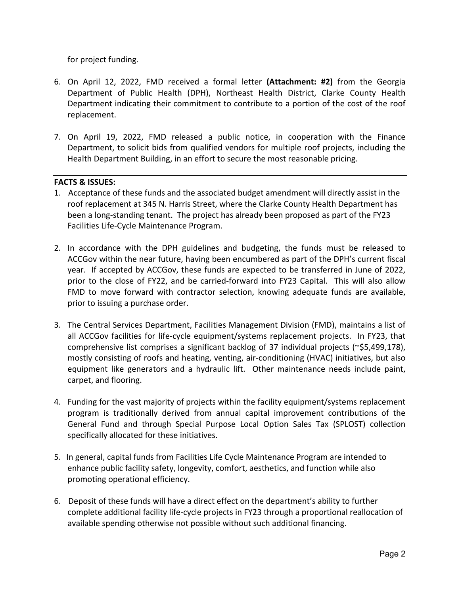for project funding.

- 6. On April 12, 2022, FMD received a formal letter **(Attachment: #2)** from the Georgia Department of Public Health (DPH), Northeast Health District, Clarke County Health Department indicating their commitment to contribute to a portion of the cost of the roof replacement.
- 7. On April 19, 2022, FMD released a public notice, in cooperation with the Finance Department, to solicit bids from qualified vendors for multiple roof projects, including the Health Department Building, in an effort to secure the most reasonable pricing.

# **FACTS & ISSUES:**

- 1. Acceptance of these funds and the associated budget amendment will directly assist in the roof replacement at 345 N. Harris Street, where the Clarke County Health Department has been a long‐standing tenant. The project has already been proposed as part of the FY23 Facilities Life‐Cycle Maintenance Program.
- 2. In accordance with the DPH guidelines and budgeting, the funds must be released to ACCGov within the near future, having been encumbered as part of the DPH's current fiscal year. If accepted by ACCGov, these funds are expected to be transferred in June of 2022, prior to the close of FY22, and be carried-forward into FY23 Capital. This will also allow FMD to move forward with contractor selection, knowing adequate funds are available, prior to issuing a purchase order.
- 3. The Central Services Department, Facilities Management Division (FMD), maintains a list of all ACCGov facilities for life‐cycle equipment/systems replacement projects. In FY23, that comprehensive list comprises a significant backlog of 37 individual projects (~\$5,499,178), mostly consisting of roofs and heating, venting, air‐conditioning (HVAC) initiatives, but also equipment like generators and a hydraulic lift. Other maintenance needs include paint, carpet, and flooring.
- 4. Funding for the vast majority of projects within the facility equipment/systems replacement program is traditionally derived from annual capital improvement contributions of the General Fund and through Special Purpose Local Option Sales Tax (SPLOST) collection specifically allocated for these initiatives.
- 5. In general, capital funds from Facilities Life Cycle Maintenance Program are intended to enhance public facility safety, longevity, comfort, aesthetics, and function while also promoting operational efficiency.
- 6. Deposit of these funds will have a direct effect on the department's ability to further complete additional facility life‐cycle projects in FY23 through a proportional reallocation of available spending otherwise not possible without such additional financing.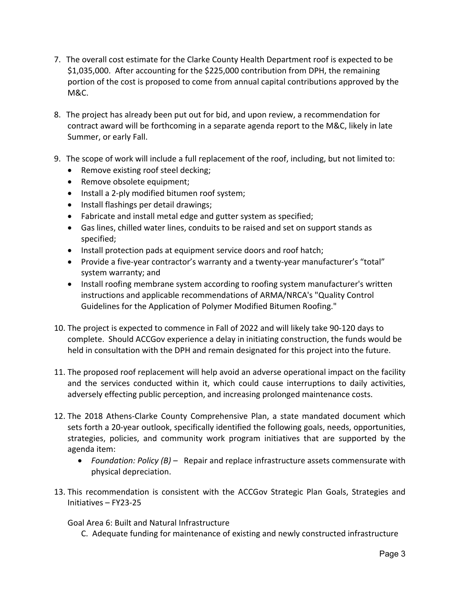- 7. The overall cost estimate for the Clarke County Health Department roof is expected to be \$1,035,000. After accounting for the \$225,000 contribution from DPH, the remaining portion of the cost is proposed to come from annual capital contributions approved by the M&C.
- 8. The project has already been put out for bid, and upon review, a recommendation for contract award will be forthcoming in a separate agenda report to the M&C, likely in late Summer, or early Fall.
- 9. The scope of work will include a full replacement of the roof, including, but not limited to:
	- Remove existing roof steel decking;
	- Remove obsolete equipment;
	- Install a 2-ply modified bitumen roof system;
	- Install flashings per detail drawings;
	- Fabricate and install metal edge and gutter system as specified;
	- Gas lines, chilled water lines, conduits to be raised and set on support stands as specified;
	- Install protection pads at equipment service doors and roof hatch;
	- Provide a five-year contractor's warranty and a twenty-year manufacturer's "total" system warranty; and
	- Install roofing membrane system according to roofing system manufacturer's written instructions and applicable recommendations of ARMA/NRCA's "Quality Control Guidelines for the Application of Polymer Modified Bitumen Roofing."
- 10. The project is expected to commence in Fall of 2022 and will likely take 90‐120 days to complete. Should ACCGov experience a delay in initiating construction, the funds would be held in consultation with the DPH and remain designated for this project into the future.
- 11. The proposed roof replacement will help avoid an adverse operational impact on the facility and the services conducted within it, which could cause interruptions to daily activities, adversely effecting public perception, and increasing prolonged maintenance costs.
- 12. The 2018 Athens‐Clarke County Comprehensive Plan, a state mandated document which sets forth a 20-year outlook, specifically identified the following goals, needs, opportunities, strategies, policies, and community work program initiatives that are supported by the agenda item:
	- Foundation: Policy (B) Repair and replace infrastructure assets commensurate with physical depreciation.
- 13. This recommendation is consistent with the ACCGov Strategic Plan Goals, Strategies and Initiatives – FY23‐25

Goal Area 6: Built and Natural Infrastructure

C. Adequate funding for maintenance of existing and newly constructed infrastructure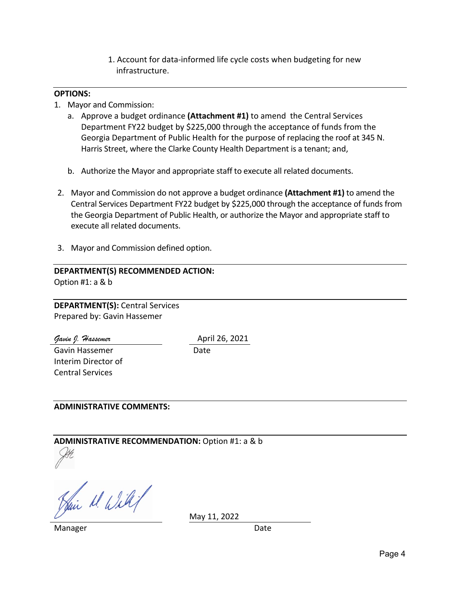1. Account for data‐informed life cycle costs when budgeting for new infrastructure.

### **OPTIONS:**

- 1. Mayor and Commission:
	- a. Approve a budget ordinance **(Attachment #1)** to amend the Central Services Department FY22 budget by \$225,000 through the acceptance of funds from the Georgia Department of Public Health for the purpose of replacing the roof at 345 N. Harris Street, where the Clarke County Health Department is a tenant; and,
	- b. Authorize the Mayor and appropriate staff to execute all related documents.
- 2. Mayor and Commission do not approve a budget ordinance **(Attachment #1)** to amend the Central Services Department FY22 budget by \$225,000 through the acceptance of funds from the Georgia Department of Public Health, or authorize the Mayor and appropriate staff to execute all related documents.
- 3. Mayor and Commission defined option.

# **DEPARTMENT(S) RECOMMENDED ACTION:** Option #1: a & b

**DEPARTMENT(S):** Central Services Prepared by: Gavin Hassemer

*Gavin J. Hassemer* April 26, 2021 Gavin Hassemer Interim Director of Central Services

Date

## **ADMINISTRATIVE COMMENTS:**

**ADMINISTRATIVE RECOMMENDATION:** Option #1: a & b

Hair M. Will

Manager **Date** 

May 11, 2022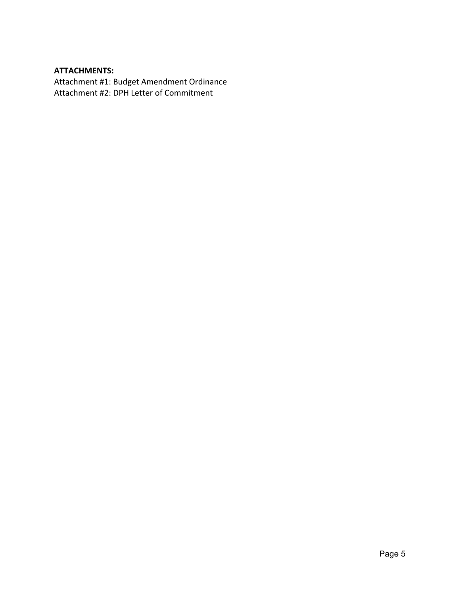# **ATTACHMENTS:**

Attachment #1: Budget Amendment Ordinance Attachment #2: DPH Letter of Commitment